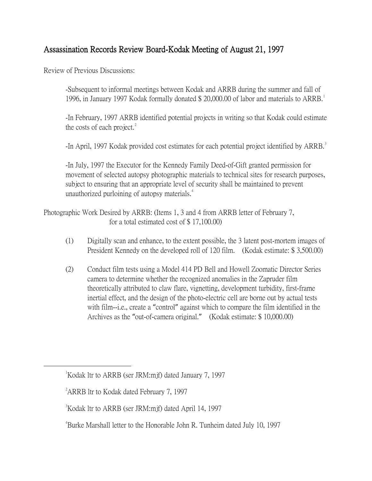## Assassination Records Review Board-Kodak Meeting of August 21, 1997

Review of Previous Discussions:

-Subsequent to informal meetings between Kodak and ARRB during the summer and fall of [1](#page-0-0)996, in January 1997 Kodak formally donated \$ 20,000.00 of labor and materials to ARRB.<sup>1</sup>

-In February, 1997 ARRB identified potential projects in writing so that Kodak could estimate the costs of each project. $^{2}$  $^{2}$  $^{2}$ 

-In April, 1997 Kodak provided cost estimates for each potential project identified by ARRB.<sup>[3](#page-0-2)</sup>

-In July, 1997 the Executor for the Kennedy Family Deed-of-Gift granted permission for movement of selected autopsy photographic materials to technical sites for research purposes, subject to ensuring that an appropriate level of security shall be maintained to prevent unauthorized purloining of autopsy materials.<sup>[4](#page-0-3)</sup>

Photographic Work Desired by ARRB: (Items 1, 3 and 4 from ARRB letter of February 7, for a total estimated cost of \$ 17,100.00)

- (1) Digitally scan and enhance, to the extent possible, the 3 latent post-mortem images of President Kennedy on the developed roll of 120 film. (Kodak estimate: \$ 3,500.00)
- (2) Conduct film tests using a Model 414 PD Bell and Howell Zoomatic Director Series camera to determine whether the recognized anomalies in the Zapruder film theoretically attributed to claw flare, vignetting, development turbidity, first-frame inertial effect, and the design of the photo-electric cell are borne out by actual tests with film--i.e., create a "control" against which to compare the film identified in the Archives as the "out-of-camera original." (Kodak estimate: \$ 10,000.00)

<span id="page-0-2"></span><span id="page-0-1"></span><span id="page-0-0"></span> $\overline{\phantom{a}}$ <sup>1</sup>Kodak ltr to ARRB (ser JRM:mif) dated January 7, 1997

<sup>&</sup>lt;sup>2</sup> ARRB ltr to Kodak dated February 7, 1997

<sup>3</sup> Kodak ltr to ARRB (ser JRM:mjf) dated April 14, 1997

<span id="page-0-3"></span><sup>4</sup> Burke Marshall letter to the Honorable John R. Tunheim dated July 10, 1997